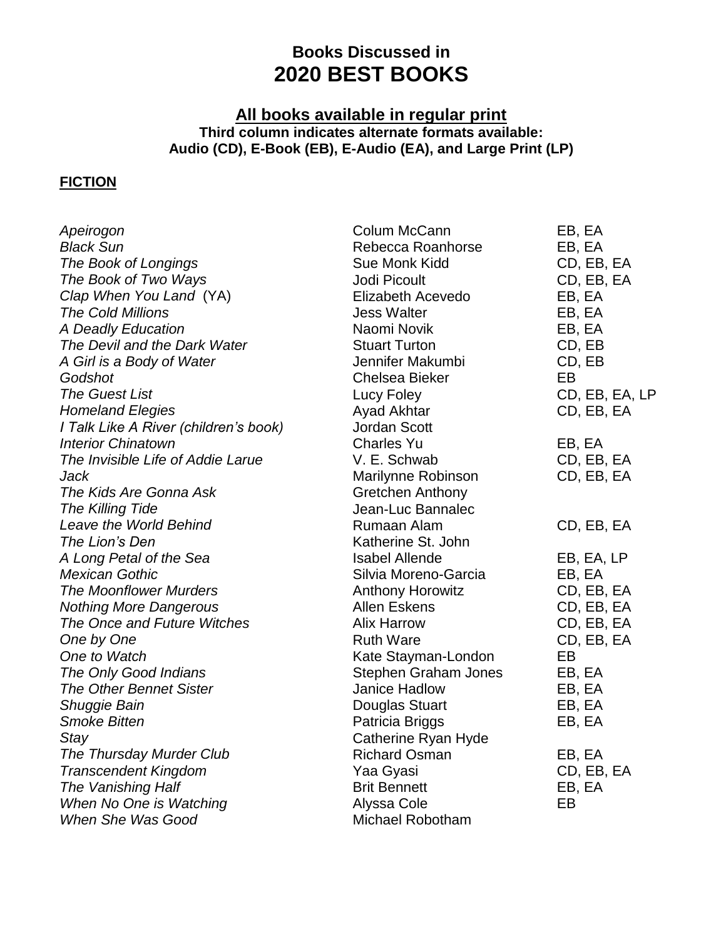## **Books Discussed in 2020 BEST BOOKS**

## **All books available in regular print Third column indicates alternate formats available: Audio (CD), E-Book (EB), E-Audio (EA), and Large Print (LP)**

## **FICTION**

| Apeirogon                             | Colum McCann            | EB, EA         |
|---------------------------------------|-------------------------|----------------|
| <b>Black Sun</b>                      | Rebecca Roanhorse       | EB, EA         |
| The Book of Longings                  | Sue Monk Kidd           | CD, EB, EA     |
| The Book of Two Ways                  | Jodi Picoult            | CD, EB, EA     |
| Clap When You Land (YA)               | Elizabeth Acevedo       | EB, EA         |
| <b>The Cold Millions</b>              | <b>Jess Walter</b>      | EB, EA         |
| A Deadly Education                    | Naomi Novik             | EB, EA         |
| The Devil and the Dark Water          | <b>Stuart Turton</b>    | CD, EB         |
| A Girl is a Body of Water             | Jennifer Makumbi        | CD, EB         |
| Godshot                               | <b>Chelsea Bieker</b>   | <b>EB</b>      |
| <b>The Guest List</b>                 | Lucy Foley              | CD, EB, EA, LP |
| <b>Homeland Elegies</b>               | Ayad Akhtar             | CD, EB, EA     |
| I Talk Like A River (children's book) | Jordan Scott            |                |
| <b>Interior Chinatown</b>             | <b>Charles Yu</b>       | EB, EA         |
| The Invisible Life of Addie Larue     | V. E. Schwab            | CD, EB, EA     |
| Jack                                  | Marilynne Robinson      | CD, EB, EA     |
| The Kids Are Gonna Ask                | Gretchen Anthony        |                |
| The Killing Tide                      | Jean-Luc Bannalec       |                |
| Leave the World Behind                | Rumaan Alam             | CD, EB, EA     |
| The Lion's Den                        | Katherine St. John      |                |
| A Long Petal of the Sea               | <b>Isabel Allende</b>   | EB, EA, LP     |
| <b>Mexican Gothic</b>                 | Silvia Moreno-Garcia    | EB, EA         |
| <b>The Moonflower Murders</b>         | <b>Anthony Horowitz</b> | CD, EB, EA     |
| <b>Nothing More Dangerous</b>         | <b>Allen Eskens</b>     | CD, EB, EA     |
| The Once and Future Witches           | <b>Alix Harrow</b>      | CD, EB, EA     |
| One by One                            | <b>Ruth Ware</b>        | CD, EB, EA     |
| One to Watch                          | Kate Stayman-London     | EB             |
| The Only Good Indians                 | Stephen Graham Jones    | EB, EA         |
| <b>The Other Bennet Sister</b>        | <b>Janice Hadlow</b>    | EB, EA         |
| Shuggie Bain                          | Douglas Stuart          | EB, EA         |
| <b>Smoke Bitten</b>                   | Patricia Briggs         | EB, EA         |
| Stay                                  | Catherine Ryan Hyde     |                |
| The Thursday Murder Club              | <b>Richard Osman</b>    | EB, EA         |
| <b>Transcendent Kingdom</b>           | Yaa Gyasi               | CD, EB, EA     |
| The Vanishing Half                    | <b>Brit Bennett</b>     | EB, EA         |
| When No One is Watching               | Alyssa Cole             | EB             |
| When She Was Good                     | Michael Robotham        |                |